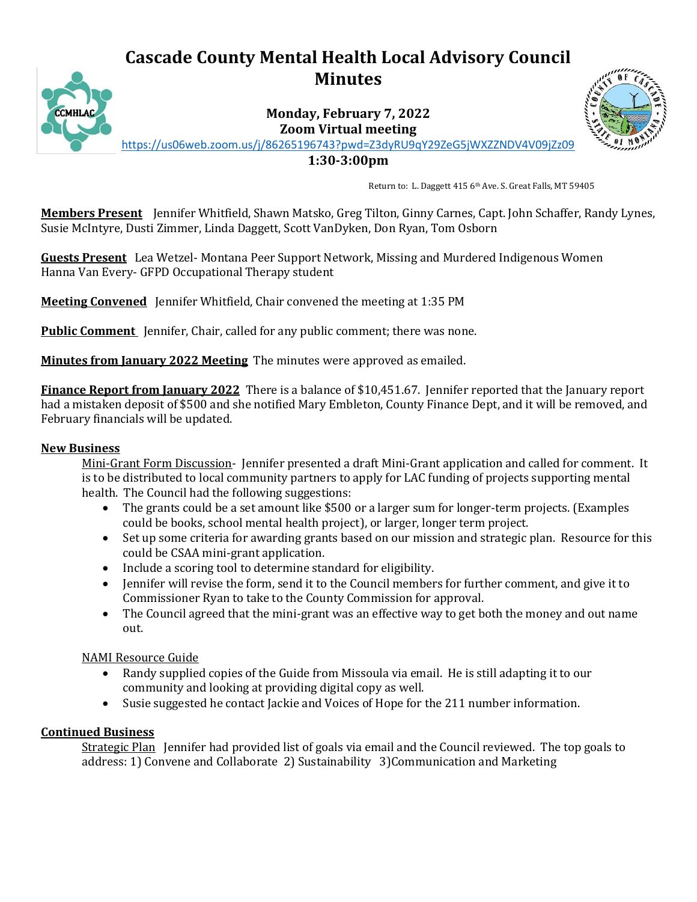# **Cascade County Mental Health Local Advisory Council Minutes**



**Monday, February 7, 2022 Zoom Virtual meeting**



<https://us06web.zoom.us/j/86265196743?pwd=Z3dyRU9qY29ZeG5jWXZZNDV4V09jZz09>

**1:30-3:00pm**

Return to: L. Daggett 415 6th Ave. S. Great Falls, MT 59405

**Members Present** Jennifer Whitfield, Shawn Matsko, Greg Tilton, Ginny Carnes, Capt. John Schaffer, Randy Lynes, Susie McIntyre, Dusti Zimmer, Linda Daggett, Scott VanDyken, Don Ryan, Tom Osborn

**Guests Present** Lea Wetzel- Montana Peer Support Network, Missing and Murdered Indigenous Women Hanna Van Every- GFPD Occupational Therapy student

**Meeting Convened** Jennifer Whitfield, Chair convened the meeting at 1:35 PM

**Public Comment** Jennifer, Chair, called for any public comment; there was none.

**Minutes from January 2022 Meeting** The minutes were approved as emailed.

**Finance Report from January 2022** There is a balance of \$10,451.67. Jennifer reported that the January report had a mistaken deposit of \$500 and she notified Mary Embleton, County Finance Dept, and it will be removed, and February financials will be updated.

#### **New Business**

Mini-Grant Form Discussion- Jennifer presented a draft Mini-Grant application and called for comment. It is to be distributed to local community partners to apply for LAC funding of projects supporting mental health. The Council had the following suggestions:

- The grants could be a set amount like \$500 or a larger sum for longer-term projects. (Examples could be books, school mental health project), or larger, longer term project.
- Set up some criteria for awarding grants based on our mission and strategic plan. Resource for this could be CSAA mini-grant application.
- Include a scoring tool to determine standard for eligibility.
- Jennifer will revise the form, send it to the Council members for further comment, and give it to Commissioner Ryan to take to the County Commission for approval.
- The Council agreed that the mini-grant was an effective way to get both the money and out name out.

NAMI Resource Guide

- Randy supplied copies of the Guide from Missoula via email. He is still adapting it to our community and looking at providing digital copy as well.
- Susie suggested he contact Jackie and Voices of Hope for the 211 number information.

### **Continued Business**

Strategic Plan Jennifer had provided list of goals via email and the Council reviewed. The top goals to address: 1) Convene and Collaborate 2) Sustainability 3)Communication and Marketing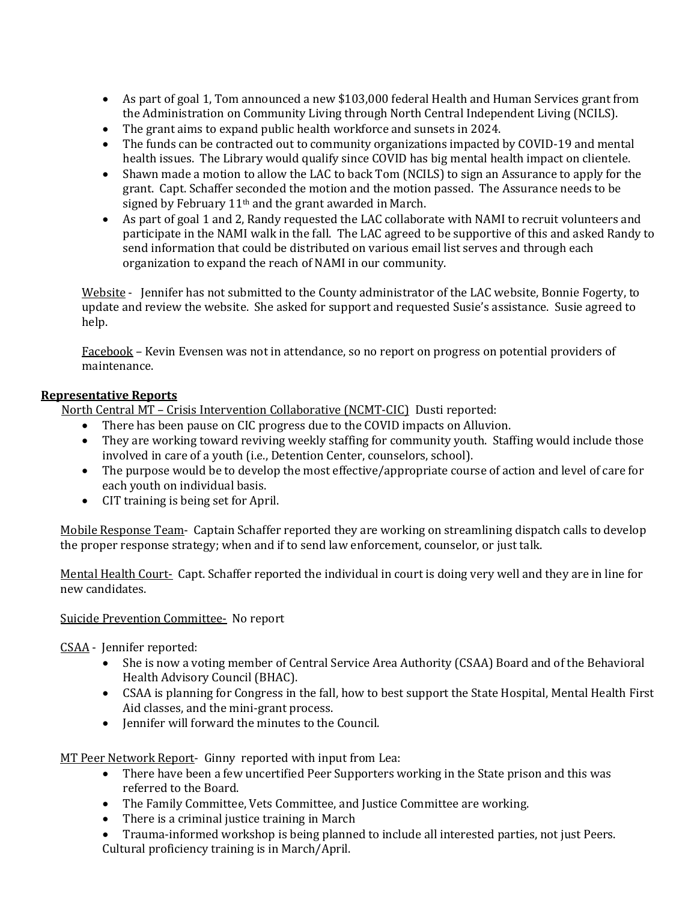- As part of goal 1, Tom announced a new \$103,000 federal Health and Human Services grant from the Administration on Community Living through North Central Independent Living (NCILS).
- The grant aims to expand public health workforce and sunsets in 2024.
- The funds can be contracted out to community organizations impacted by COVID-19 and mental health issues. The Library would qualify since COVID has big mental health impact on clientele.
- Shawn made a motion to allow the LAC to back Tom (NCILS) to sign an Assurance to apply for the grant. Capt. Schaffer seconded the motion and the motion passed. The Assurance needs to be signed by February 11<sup>th</sup> and the grant awarded in March.
- As part of goal 1 and 2, Randy requested the LAC collaborate with NAMI to recruit volunteers and participate in the NAMI walk in the fall. The LAC agreed to be supportive of this and asked Randy to send information that could be distributed on various email list serves and through each organization to expand the reach of NAMI in our community.

Website - Jennifer has not submitted to the County administrator of the LAC website, Bonnie Fogerty, to update and review the website. She asked for support and requested Susie's assistance. Susie agreed to help.

Facebook – Kevin Evensen was not in attendance, so no report on progress on potential providers of maintenance.

## **Representative Reports**

North Central MT – Crisis Intervention Collaborative (NCMT-CIC) Dusti reported:

- There has been pause on CIC progress due to the COVID impacts on Alluvion.
- They are working toward reviving weekly staffing for community youth. Staffing would include those involved in care of a youth (i.e., Detention Center, counselors, school).
- The purpose would be to develop the most effective/appropriate course of action and level of care for each youth on individual basis.
- CIT training is being set for April.

Mobile Response Team- Captain Schaffer reported they are working on streamlining dispatch calls to develop the proper response strategy; when and if to send law enforcement, counselor, or just talk.

Mental Health Court- Capt. Schaffer reported the individual in court is doing very well and they are in line for new candidates.

## Suicide Prevention Committee- No report

CSAA - Jennifer reported:

- She is now a voting member of Central Service Area Authority (CSAA) Board and of the Behavioral Health Advisory Council (BHAC).
- CSAA is planning for Congress in the fall, how to best support the State Hospital, Mental Health First Aid classes, and the mini-grant process.
- Jennifer will forward the minutes to the Council.

MT Peer Network Report- Ginny reported with input from Lea:

- There have been a few uncertified Peer Supporters working in the State prison and this was referred to the Board.
- The Family Committee, Vets Committee, and Justice Committee are working.
- There is a criminal justice training in March
- Trauma-informed workshop is being planned to include all interested parties, not just Peers. Cultural proficiency training is in March/April.